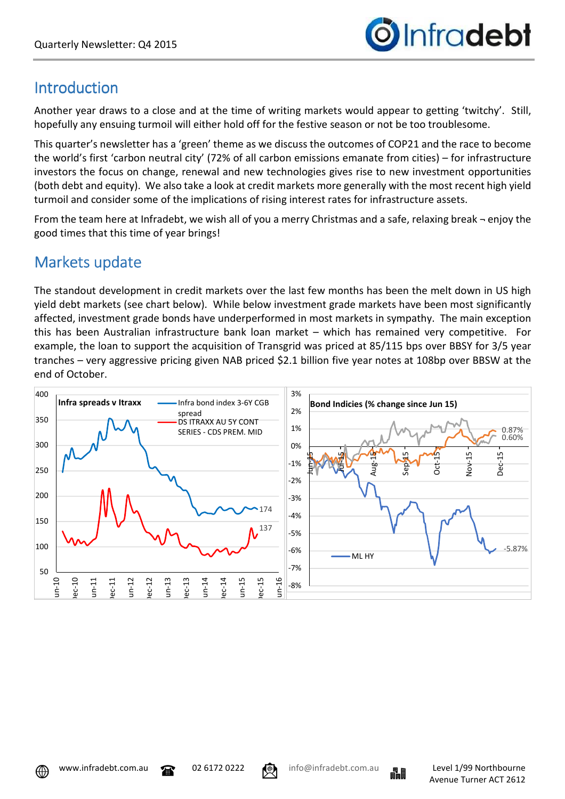

# Introduction

Another year draws to a close and at the time of writing markets would appear to getting 'twitchy'. Still, hopefully any ensuing turmoil will either hold off for the festive season or not be too troublesome.

This quarter's newsletter has a 'green' theme as we discuss the outcomes of COP21 and the race to become the world's first 'carbon neutral city' (72% of all carbon emissions emanate from cities) – for infrastructure investors the focus on change, renewal and new technologies gives rise to new investment opportunities (both debt and equity). We also take a look at credit markets more generally with the most recent high yield turmoil and consider some of the implications of rising interest rates for infrastructure assets.

From the team here at Infradebt, we wish all of you a merry Christmas and a safe, relaxing break ¬ enjoy the good times that this time of year brings!

# Markets update

The standout development in credit markets over the last few months has been the melt down in US high yield debt markets (see chart below). While below investment grade markets have been most significantly affected, investment grade bonds have underperformed in most markets in sympathy. The main exception this has been Australian infrastructure bank loan market – which has remained very competitive. For example, the loan to support the acquisition of Transgrid was priced at 85/115 bps over BBSY for 3/5 year tranches – very aggressive pricing given NAB priced \$2.1 billion five year notes at 108bp over BBSW at the end of October.







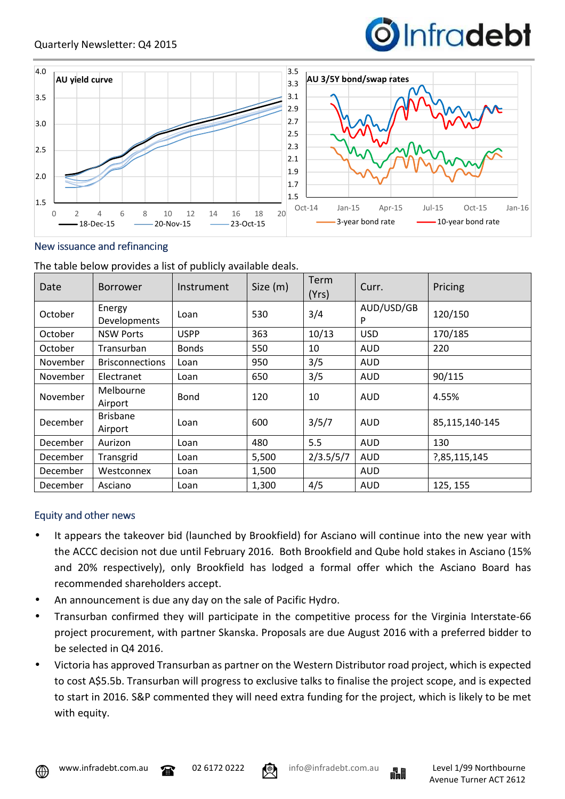



#### New issuance and refinancing

The table below provides a list of publicly available deals.

| Date     | <b>Borrower</b>            | Instrument   | Size (m) | Term<br>(Yrs) | Curr.           | Pricing        |  |
|----------|----------------------------|--------------|----------|---------------|-----------------|----------------|--|
| October  | Energy<br>Developments     | Loan         | 530      | 3/4           | AUD/USD/GB<br>P | 120/150        |  |
| October  | <b>NSW Ports</b>           | <b>USPP</b>  | 363      | 10/13         | <b>USD</b>      | 170/185        |  |
| October  | Transurban                 | <b>Bonds</b> | 550      | 10            | <b>AUD</b>      | 220            |  |
| November | <b>Brisconnections</b>     | Loan         | 950      | 3/5           | <b>AUD</b>      |                |  |
| November | Electranet                 | Loan         | 650      | 3/5           | AUD             | 90/115         |  |
| November | Melbourne<br>Airport       | <b>Bond</b>  | 120      | 10            | <b>AUD</b>      | 4.55%          |  |
| December | <b>Brisbane</b><br>Airport | Loan         | 600      | 3/5/7         | <b>AUD</b>      | 85,115,140-145 |  |
| December | Aurizon                    | Loan         | 480      | 5.5           | <b>AUD</b>      | 130            |  |
| December | Transgrid                  | Loan         | 5,500    | 2/3.5/5/7     | <b>AUD</b>      | ?,85,115,145   |  |
| December | Westconnex                 | Loan         | 1,500    |               | <b>AUD</b>      |                |  |
| December | Asciano                    | Loan         | 1,300    | 4/5           | <b>AUD</b>      | 125, 155       |  |

### Equity and other news

- It appears the takeover bid (launched by Brookfield) for Asciano will continue into the new year with the ACCC decision not due until February 2016. Both Brookfield and Qube hold stakes in Asciano (15% and 20% respectively), only Brookfield has lodged a formal offer which the Asciano Board has recommended shareholders accept.
- An announcement is due any day on the sale of Pacific Hydro.
- Transurban confirmed they will participate in the competitive process for the Virginia Interstate-66 project procurement, with partner Skanska. Proposals are due August 2016 with a preferred bidder to be selected in Q4 2016.
- Victoria has approved Transurban as partner on the Western Distributor road project, which is expected to cost A\$5.5b. Transurban will progress to exclusive talks to finalise the project scope, and is expected to start in 2016. S&P commented they will need extra funding for the project, which is likely to be met with equity.



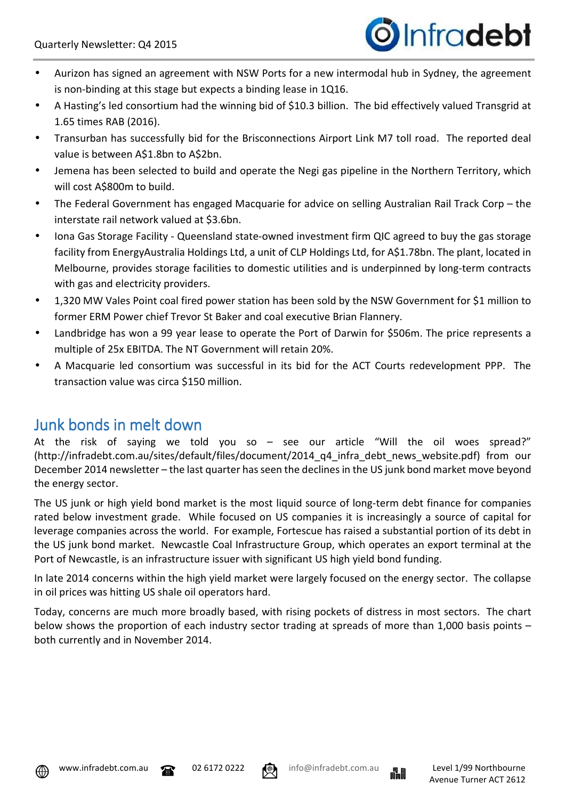

- Aurizon has signed an agreement with NSW Ports for a new intermodal hub in Sydney, the agreement is non-binding at this stage but expects a binding lease in 1Q16.
- A Hasting's led consortium had the winning bid of \$10.3 billion. The bid effectively valued Transgrid at 1.65 times RAB (2016).
- Transurban has successfully bid for the Brisconnections Airport Link M7 toll road. The reported deal value is between A\$1.8bn to A\$2bn.
- Jemena has been selected to build and operate the Negi gas pipeline in the Northern Territory, which will cost A\$800m to build.
- The Federal Government has engaged Macquarie for advice on selling Australian Rail Track Corp the interstate rail network valued at \$3.6bn.
- Iona Gas Storage Facility Queensland state-owned investment firm QIC agreed to buy the gas storage facility from EnergyAustralia Holdings Ltd, a unit of CLP Holdings Ltd, for A\$1.78bn. The plant, located in Melbourne, provides storage facilities to domestic utilities and is underpinned by long-term contracts with gas and electricity providers.
- 1,320 MW Vales Point coal fired power station has been sold by the NSW Government for \$1 million to former ERM Power chief Trevor St Baker and coal executive Brian Flannery.
- Landbridge has won a 99 year lease to operate the Port of Darwin for \$506m. The price represents a multiple of 25x EBITDA. The NT Government will retain 20%.
- A Macquarie led consortium was successful in its bid for the ACT Courts redevelopment PPP. The transaction value was circa \$150 million.

# Junk bonds in melt down

At the risk of saying we told you so – see our article "Will the oil woes spread?" (http://infradebt.com.au/sites/default/files/document/2014 q4 infra debt news website.pdf) from our December 2014 newsletter – the last quarter has seen the declines in the US junk bond market move beyond the energy sector.

The US junk or high yield bond market is the most liquid source of long-term debt finance for companies rated below investment grade. While focused on US companies it is increasingly a source of capital for leverage companies across the world. For example, Fortescue has raised a substantial portion of its debt in the US junk bond market. Newcastle Coal Infrastructure Group, which operates an export terminal at the Port of Newcastle, is an infrastructure issuer with significant US high yield bond funding.

In late 2014 concerns within the high yield market were largely focused on the energy sector. The collapse in oil prices was hitting US shale oil operators hard.

Today, concerns are much more broadly based, with rising pockets of distress in most sectors. The chart below shows the proportion of each industry sector trading at spreads of more than 1,000 basis points – both currently and in November 2014.





$$
^{222} \quad \bullet
$$

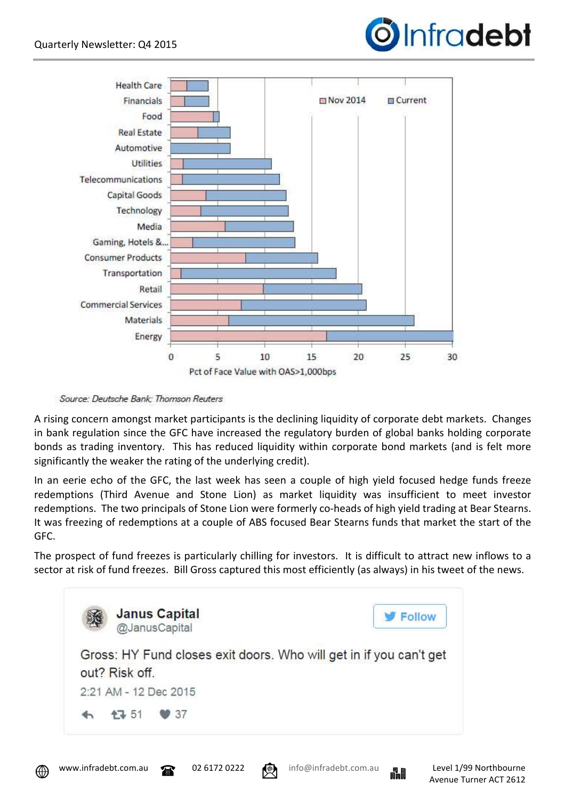



Source: Deutsche Bank; Thomson Reuters

A rising concern amongst market participants is the declining liquidity of corporate debt markets. Changes in bank regulation since the GFC have increased the regulatory burden of global banks holding corporate bonds as trading inventory. This has reduced liquidity within corporate bond markets (and is felt more significantly the weaker the rating of the underlying credit).

In an eerie echo of the GFC, the last week has seen a couple of high yield focused hedge funds freeze redemptions (Third Avenue and Stone Lion) as market liquidity was insufficient to meet investor redemptions. The two principals of Stone Lion were formerly co-heads of high yield trading at Bear Stearns. It was freezing of redemptions at a couple of ABS focused Bear Stearns funds that market the start of the GFC.

The prospect of fund freezes is particularly chilling for investors. It is difficult to attract new inflows to a sector at risk of fund freezes. Bill Gross captured this most efficiently (as always) in his tweet of the news.





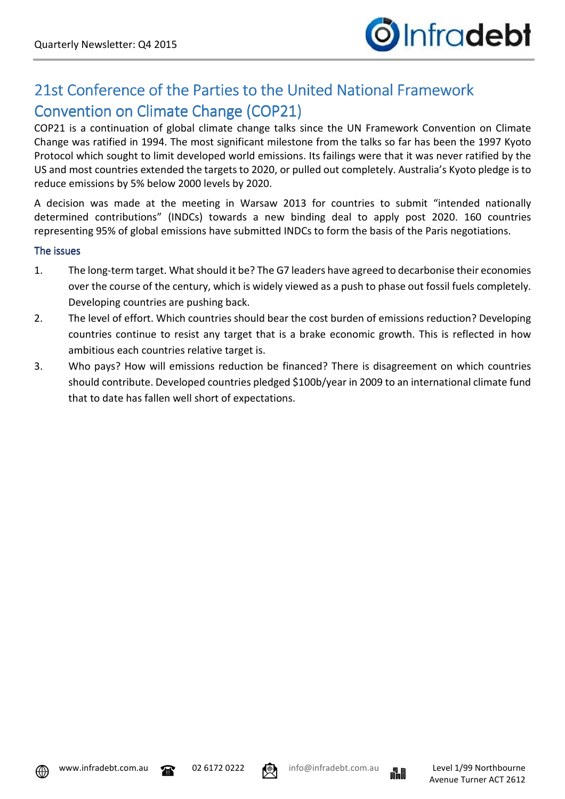

# 21st Conference of the Parties to the United National Framework Convention on Climate Change (COP21)

COP21 is a continuation of global climate change talks since the UN Framework Convention on Climate Change was ratified in 1994. The most significant milestone from the talks so far has been the 1997 Kyoto Protocol which sought to limit developed world emissions. Its failings were that it was never ratified by the US and most countries extended the targets to 2020, or pulled out completely. Australia's Kyoto pledge is to reduce emissions by 5% below 2000 levels by 2020.

A decision was made at the meeting in Warsaw 2013 for countries to submit "intended nationally determined contributions" (INDCs) towards a new binding deal to apply post 2020. 160 countries representing 95% of global emissions have submitted INDCs to form the basis of the Paris negotiations.

#### The issues

- 1. The long-term target. What should it be? The G7 leaders have agreed to decarbonise their economies over the course of the century, which is widely viewed as a push to phase out fossil fuels completely. Developing countries are pushing back.
- 2. The level of effort. Which countries should bear the cost burden of emissions reduction? Developing countries continue to resist any target that is a brake economic growth. This is reflected in how ambitious each countries relative target is.
- 3. Who pays? How will emissions reduction be financed? There is disagreement on which countries should contribute. Developed countries pledged \$100b/year in 2009 to an international climate fund that to date has fallen well short of expectations.





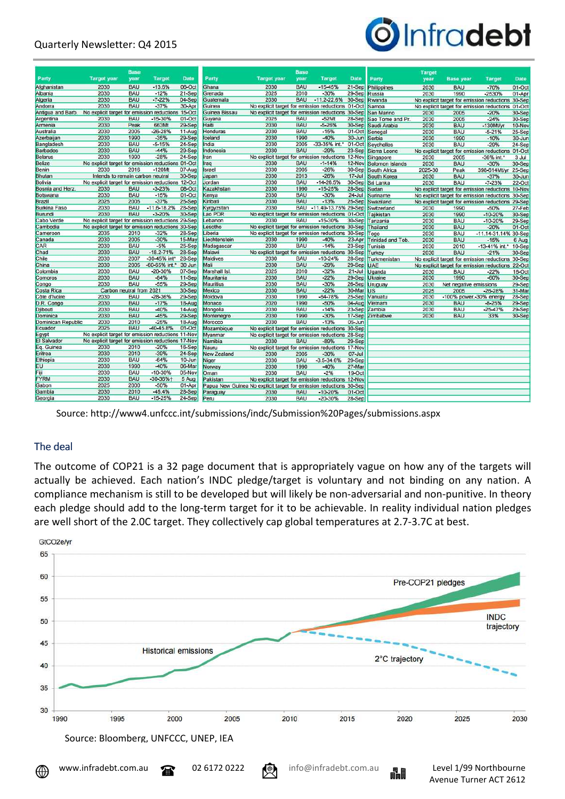### Quarterly Newsletter: Q4 2015



|                                                                     |                                                   | Base                             |                 |             |                    |                                                                    | <b>Base</b> |                          |            |                   | Target  |                         |                                                   |             |
|---------------------------------------------------------------------|---------------------------------------------------|----------------------------------|-----------------|-------------|--------------------|--------------------------------------------------------------------|-------------|--------------------------|------------|-------------------|---------|-------------------------|---------------------------------------------------|-------------|
| Party                                                               | <b>Target year</b>                                | year                             | <b>Target</b>   | <b>Date</b> | Party              | <b>Target year</b>                                                 | year        | <b>Target</b>            | Date       | Party             | year    | <b>Base year</b>        | <b>Target</b>                                     | <b>Date</b> |
| Afghanistan                                                         | 2030                                              | <b>BAU</b>                       | $-13.6%$        | 06-Oct      | Ghana              | 2030                                                               | <b>BAU</b>  | $-15 - 45%$              | $21-Sep$   | Philippines       | 2030    | <b>BAU</b>              | $-70%$                                            | $01-Oct$    |
| Albania                                                             | 2030                                              | <b>BAU</b>                       | $-12%$          | 21-Sep      | Grenada            | 2025                                                               | 2010        | $-30%$                   | 29-Sep     | Russia            | 2030    | 1990                    | $-2530%$                                          | 01-Apr      |
| Algeria                                                             | 2030                                              | <b>BAU</b>                       | $-7 - 22%$      | 04-Sep      | Guatemala          | 2030                                                               | <b>BAU</b>  | $-11.2 - 22.6%$          | 30-Sep     | Rwanda            |         |                         | No explicit target for emission reductions 30-Sep |             |
| Andorra                                                             | 2030                                              | <b>BAU</b>                       | $-37%$          | 30-Apr      | Guinea             | No explicit target for emission reductions 01-Oct                  |             |                          |            | Samoa             |         |                         | No explicit target for emission reductions 01-Oct |             |
| Antiqua and Barb. No explicit target for emission reductions 15-Oct |                                                   |                                  |                 |             | Guinea Bissau      | No explicit target for emission reductions 30-Sep                  |             |                          |            | San Marino        | 2030    | 2005                    | $-20%$                                            | 30-Sep      |
| Argentina                                                           | 2030                                              | <b>BAU</b>                       | $-15 - 30%$     | $01-Oct$    | Guyana             | 2025                                                               | <b>BAU</b>  | $-52$ Mt                 | 28-Sep     | Sao Tome and Pr.  | 2030    | 2005                    | $-24%$                                            | 30-Sep      |
| Armenia                                                             | 2030                                              | Peak                             | 663Mt           | 29-Sep      | Haiti              | 2030                                                               | <b>BAU</b>  | $-5 - 26%$               | 30-Sep     | Saudi Arabia      | 2030    | <b>BAU</b>              | $-130$ Mt/vr                                      | 10-Nov      |
| Australia                                                           | 2030                                              | 2005                             | $-26 - 28%$     | $11-Auq$    | Honduras           | 2030                                                               | <b>BAU</b>  | $-15%$                   | $01-Oct$   | Senegal           | 2030    | <b>BAU</b>              | $-5 - 21%$                                        | 25-Sep      |
| Azerbaijan                                                          | 2030                                              | 1990                             | $-35%$          | 29-Sep      | celand             | 2030                                                               | 1990        | $-40%$                   | $30 - Jun$ | Serbia            | 2030    | 1990                    | $-10%$                                            | 30-Jun      |
| Bangladesh                                                          | 2030                                              | <b>BAU</b>                       | $-5 - 15%$      | 24-Sep      | India              | 2030                                                               | 2005        | -33-35% int.*            | $01-Oct$   | <b>Seychelles</b> | 2030    | <b>BAU</b>              | $-29%$                                            | 24-Sep      |
| <b>Barbados</b>                                                     | 2030                                              | <b>BAU</b>                       | $-44%$          | 29-Sep      | Indonesia          | 2030                                                               | <b>BAU</b>  | $-29%$                   | 23-Sep     | Sierra Leone      |         |                         | No explicit target for emission reductions 01-Oct |             |
| <b>Belarus</b>                                                      | 2030                                              | 1990                             | $-28%$          | 24-Sep      | Iran               | No explicit target for emission reductions 12-Nov                  |             |                          |            | Singapore         | 2030    | 2005                    | -36% int.                                         | 3 Jul       |
| <b>Belize</b>                                                       | No explicit target for emission reductions 01-Oct |                                  |                 |             | psi                | 2030                                                               | <b>BAU</b>  | $-1 - 14%$               | 12-Nov     | Solomon Islands   | 2030    | <b>BAU</b>              | $-30%$                                            | 30-Sep      |
| Benin                                                               | 2030                                              | 2016                             | $-120$ Mt       | 07-Aug      | Israel             | 2030                                                               | 2005        | $-26%$                   | 30-Sep     | South Africa      | 2025-30 | Peak                    | 398-614Mt/yr 25-Sep                               |             |
| Bhutan                                                              |                                                   | Intends to remain carbon neutral |                 | 30-Sep      | Japan              | 2030                                                               | 2013        | $-26%$                   | $17 -$ Jul | South Korea       | 2030    | <b>BAU</b>              | $-37%$                                            | $30 - Jun$  |
| Bolivia                                                             | No explicit target for emission reductions 12-Oct |                                  |                 |             | Jordan             | 2030                                                               | <b>BAU</b>  | $-14 - 26.5%$            | 30-Sep     | Sri Lanka         | 2030    | <b>BAU</b>              | $-7 - 23%$                                        | $22-Oct$    |
| Bosnia and Herz.                                                    | 2030                                              | <b>BAU</b>                       | $-3 - 23%$      | 08-Oct      | Kazakhstan         | 2030                                                               | 1990        | $-15.25%$                | $28-Sep$   | Sudan             |         |                         | No explicit target for emission reductions 10-Nov |             |
| Botswana                                                            | 2030                                              | <b>BAU</b>                       | $-15%$          | $01-Oct$    | Kenya              | 2030                                                               | <b>BAU</b>  | $-30%$                   | $24 -$ Jul | Suriname          |         |                         | No explicit target for emission reductions 30-Sep |             |
| Brazil                                                              | 2025                                              | 2005                             | $-37%$          | 25-Sep      | Kiribati           | 2030                                                               | <b>BAU</b>  | $-13%$                   | $25-Sep$   | Swaziland         |         |                         | No explicit target for emission reductions 29-Sep |             |
| Burkina Faso                                                        | 2030                                              | <b>BAU</b>                       | $-11.6 - 18.2%$ | 28-Sep      | Kyrgyzstan         | 2030                                                               |             | BAU -11.49-13.75% 29-Sep |            | Switzerland       | 2030    | 1990                    | $-50%$                                            | 27-Feb      |
| Burundi                                                             | 2030                                              | <b>BAU</b>                       | $-3 - 20%$      | 30-Sep      | Lao PDR            | No explicit target for emission reductions 01-Oct                  |             |                          |            | Tajikistan        | 2030    | 1990                    | $-10 - 20%$                                       | 30-Sep      |
| Cabo Verde                                                          | No explicit target for emission reductions 29-Sep |                                  |                 |             | ebanon             | 2030                                                               | <b>BAU</b>  | $-15 - 30%$              | 30-Sep     | Tanzania          | 2030    | <b>BAU</b>              | $-10 - 20%$                                       | 29-Sep      |
| Cambodia                                                            | No explicit target for emission reductions 30-Sep |                                  |                 |             | esotho             | No explicit target for emission reductions 30-Sep                  |             |                          |            | Thailand          | 2030    | <b>BAU</b>              | $-20%$                                            | $01-Oct$    |
| Cameroon                                                            | 2035                                              | 2010                             | $-32%$          | 28-Sep      | iberia             | No explicit target for emission reductions 30-Sep                  |             |                          |            | ogo               | 2030    | <b>BAU</b>              | -11.14-31.14% 30-Sep                              |             |
| Canada                                                              | 2030                                              | 2005                             | $-30%$          | 15-May      | Liechtenstein      | 2030                                                               | 1990        | $-40%$                   | 23-Apr     | Trinidad and Tob. | 2030    | <b>BAU</b>              | $-15%$                                            | 6 Aug       |
| CAR                                                                 | 2030                                              | <b>BAU</b>                       | $-5%$           | 25-Sep      | Madagascar         | 2030                                                               | <b>BAU</b>  | $-14%$                   | 23-Sep     | <b>Tunisia</b>    | 2030    | 2010                    | -13-41% int.*                                     | 10-Sep      |
| Chad                                                                | 2030                                              | <b>BAU</b>                       | $-18.2 - 71%$   | 28-Sep      | Malawi             | No explicit target for emission reductions 30-Sep                  |             |                          |            | Turkey            | 2030    | <b>BAU</b>              | $-21%$                                            | 30-Sep      |
| Chile                                                               | 2030                                              | 2007                             | -30-45% int*    | 28-Sep      | <b>Maldives</b>    | 2030                                                               | <b>BAU</b>  | $-10.24%$                | 28-Sep     | Turkmenistan      |         |                         | No explicit target for emission reductions 30-Sep |             |
| China                                                               | 2030                                              | 2005                             | -60-65% int.*   | 30 Jun      | Mali               | 2030                                                               | <b>BAU</b>  | $-29%$                   | $29-Sep$   | JAE               |         |                         | No explicit target for emission reductions 22-Oct |             |
| Colombia                                                            | 2030                                              | <b>BAU</b>                       | $-20 - 30%$     | 07-Sep      | Marshall Isl.      | 2025                                                               | 2010        | $-32%$                   | $21 -$ Jul | <b>Uganda</b>     | 2030    | <b>BAU</b>              | $-22%$                                            | 16-Oct      |
| Comoros                                                             | 2030                                              | <b>BAU</b>                       | $-84%$          | 11-Sep      | Mauritania         | 2030                                                               | <b>BAU</b>  | $-22%$                   | 29-Sep     | <b>Ukraine</b>    | 2030    | 1990                    | $-60%$                                            | 30-Sep      |
| Congo                                                               | 2030                                              | <b>BAU</b>                       | $-55%$          | 29-Sep      | <b>Mauritius</b>   | 2030                                                               | <b>BAU</b>  | $-30%$                   | 26-Sep     | Uruguay           | 2030    | Net negative emissions  |                                                   | 29-Sep      |
| Costa Rica                                                          |                                                   | Carbon neutral from 2021         |                 | 30-Sep      | Mexico             | 2030                                                               | <b>BAU</b>  | $-22%$                   | 30-Mar     | US                | 2025    | 2005                    | $-26 - 28%$                                       | 31-Mar      |
| Côte d'Ivoire                                                       | 2030                                              | <b>BAU</b>                       | $-28-36%$       | 29-Sep      | Moldova            | 2030                                                               | 1990        | $-64 - 78%$              | $25-Sep$   | Vanuatu           | 2030    | -100% power, 30% energy |                                                   | 28-Sep      |
| D.R. Congo                                                          | 2030                                              | <b>BAU</b>                       | $-17%$          | 18-Aug      | Monaco             | 2020                                                               | 1990        | $-50%$                   | 04-Aug     | Vietnam           | 2030    | <b>BAU</b>              | $-8 - 25%$                                        | 29-Sep      |
| <b>Diibouti</b>                                                     | 2030                                              | BAU                              | $-40%$          | 14-Aug      | Mongolia           | 2030                                                               | <b>BAU</b>  | $-14%$                   | 23-Sep     | Zambia            | 2030    | <b>BAU</b>              | $-25 - 47%$                                       | 29-Sep      |
| Dominica                                                            | 2030                                              | <b>BAU</b>                       | $-45%$          | 29-Sep      | Montenegro         | 2030                                                               | 1990        | $-30%$                   | $17-Sep$   | Zimbabwe          | 2030    | <b>BAU</b>              | 33%                                               | 30-Sep      |
| Dominican Republic                                                  | 2030                                              | 2010                             | $-25%$          | 18-Aug      | Morocco            | 2030                                                               | <b>BAU</b>  | $-13%$                   | $05 - Jun$ |                   |         |                         |                                                   |             |
| Ecuador                                                             | 2025                                              | <b>BAU</b>                       | $-40 - 45.8%$   | $01$ -Oct   | Mozambique         | No explicit target for emission reductions 30-Sep                  |             |                          |            |                   |         |                         |                                                   |             |
| Egypt                                                               | No explicit target for emission reductions 11-Nov |                                  |                 |             | Myanmar            | No explicit target for emission reductions 28-Sep                  |             |                          |            |                   |         |                         |                                                   |             |
| El Salvador                                                         | No explicit target for emission reductions 17-Nov |                                  |                 |             | Namibia            | 2030                                                               | <b>BAU</b>  | $-89%$                   | 29-Sep     |                   |         |                         |                                                   |             |
| Eq. Guinea                                                          | 2030                                              | 2010                             | $-20%$          | 16-Sep      | Nauru              | No explicit target for emission reductions 17-Nov                  |             |                          |            |                   |         |                         |                                                   |             |
| Eritrea                                                             | 2030                                              | 2010                             | $-39%$          | 24-Sep      | <b>New Zealand</b> | 2030                                                               | 2005        | $-30%$                   | $07 -$ Jul |                   |         |                         |                                                   |             |
| Ethiopia                                                            | 2030                                              | <b>BAU</b>                       | $-64%$          | $10 - Jun$  | Niger              | 2030                                                               | <b>BAU</b>  | $-3.5 - 34.6%$           | 29-Sep     |                   |         |                         |                                                   |             |
| <b>EU</b>                                                           | 2030                                              | 1990                             | $-40%$          | 06-Mar      | Norway             | 2030                                                               | 1990        | $-40%$                   | 27-Mar     |                   |         |                         |                                                   |             |
| Fiji                                                                | 2030                                              | <b>BAU</b>                       | $-10 - 30%$     | 05-Nov      | Oman               | 2030                                                               | <b>BAU</b>  | $-2%$                    | 19-Oct     |                   |         |                         |                                                   |             |
| <b>FYRM</b>                                                         | 2030                                              | <b>BAU</b>                       | $-30-36%$       | 5 Aug       | Pakistan           | No explicit target for emission reductions 12-Nov                  |             |                          |            |                   |         |                         |                                                   |             |
| Gabon                                                               | 2025                                              | 2000                             | $-50%$          | 01-Apr      |                    | Papua New Guinea No explicit target for emission reductions 30-Sep |             |                          |            |                   |         |                         |                                                   |             |
| Gambia                                                              | 2030                                              | 2010                             | $-45.4%$        | 28-Sep      | Paraguay           | 2030                                                               | <b>BAU</b>  | $-10.20%$                | $01-Oct$   |                   |         |                         |                                                   |             |
| Georgia                                                             | 2030                                              | <b>BAU</b>                       | $-15 - 25%$     | 24-Sep      | Peru               | 2030                                                               | <b>BAU</b>  | $-20 - 30%$              | 28-Sep     |                   |         |                         |                                                   |             |
|                                                                     |                                                   |                                  |                 |             |                    |                                                                    |             |                          |            |                   |         |                         |                                                   |             |

Source: http://www4.unfccc.int/submissions/indc/Submission%20Pages/submissions.aspx

#### The deal

The outcome of COP21 is a 32 page document that is appropriately vague on how any of the targets will actually be achieved. Each nation's INDC pledge/target is voluntary and not binding on any nation. A compliance mechanism is still to be developed but will likely be non-adversarial and non-punitive. In theory each pledge should add to the long-term target for it to be achievable. In reality individual nation pledges are well short of the 2.0C target. They collectively cap global temperatures at 2.7-3.7C at best.



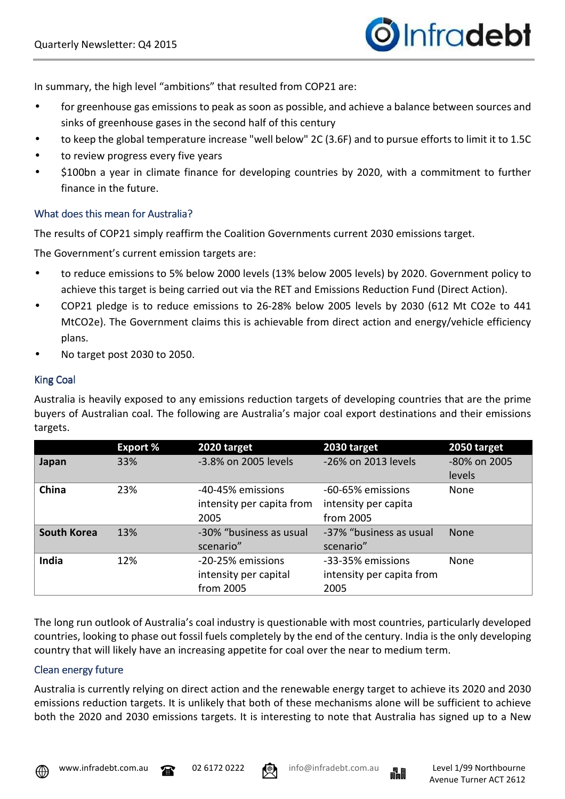In summary, the high level "ambitions" that resulted from COP21 are:

- for greenhouse gas emissions to peak as soon as possible, and achieve a balance between sources and sinks of greenhouse gases in the second half of this century
- to keep the global temperature increase "well below" 2C (3.6F) and to pursue efforts to limit it to 1.5C
- to review progress every five years
- \$100bn a year in climate finance for developing countries by 2020, with a commitment to further finance in the future.

### What does this mean for Australia?

The results of COP21 simply reaffirm the Coalition Governments current 2030 emissions target.

The Government's current emission targets are:

- to reduce emissions to 5% below 2000 levels (13% below 2005 levels) by 2020. Government policy to achieve this target is being carried out via the RET and Emissions Reduction Fund (Direct Action).
- COP21 pledge is to reduce emissions to 26-28% below 2005 levels by 2030 (612 Mt CO2e to 441 MtCO2e). The Government claims this is achievable from direct action and energy/vehicle efficiency plans.
- No target post 2030 to 2050.

### King Coal

Australia is heavily exposed to any emissions reduction targets of developing countries that are the prime buyers of Australian coal. The following are Australia's major coal export destinations and their emissions targets.

|                    | <b>Export %</b> | 2020 target               | 2030 target               | 2050 target  |
|--------------------|-----------------|---------------------------|---------------------------|--------------|
| Japan              | 33%             | -3.8% on 2005 levels      | -26% on 2013 levels       | -80% on 2005 |
|                    |                 |                           |                           | levels       |
| China              | 23%             | -40-45% emissions         | -60-65% emissions         | None         |
|                    |                 | intensity per capita from | intensity per capita      |              |
|                    |                 | 2005                      | from 2005                 |              |
| <b>South Korea</b> | 13%             | -30% "business as usual   | -37% "business as usual   | <b>None</b>  |
|                    |                 | scenario"                 | scenario"                 |              |
| India              | 12%             | -20-25% emissions         | -33-35% emissions         | None         |
|                    |                 | intensity per capital     | intensity per capita from |              |
|                    |                 | from 2005                 | 2005                      |              |

The long run outlook of Australia's coal industry is questionable with most countries, particularly developed countries, looking to phase out fossil fuels completely by the end of the century. India is the only developing country that will likely have an increasing appetite for coal over the near to medium term.

### Clean energy future

Australia is currently relying on direct action and the renewable energy target to achieve its 2020 and 2030 emissions reduction targets. It is unlikely that both of these mechanisms alone will be sufficient to achieve both the 2020 and 2030 emissions targets. It is interesting to note that Australia has signed up to a New





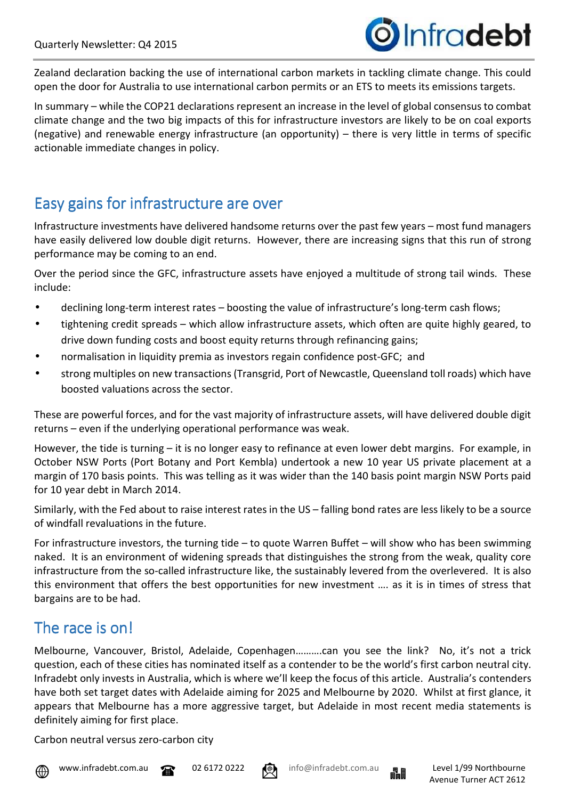

Zealand declaration backing the use of international carbon markets in tackling climate change. This could open the door for Australia to use international carbon permits or an ETS to meets its emissions targets.

In summary – while the COP21 declarations represent an increase in the level of global consensus to combat climate change and the two big impacts of this for infrastructure investors are likely to be on coal exports (negative) and renewable energy infrastructure (an opportunity) – there is very little in terms of specific actionable immediate changes in policy.

# Easy gains for infrastructure are over

Infrastructure investments have delivered handsome returns over the past few years – most fund managers have easily delivered low double digit returns. However, there are increasing signs that this run of strong performance may be coming to an end.

Over the period since the GFC, infrastructure assets have enjoyed a multitude of strong tail winds. These include:

- declining long-term interest rates boosting the value of infrastructure's long-term cash flows;
- tightening credit spreads which allow infrastructure assets, which often are quite highly geared, to drive down funding costs and boost equity returns through refinancing gains;
- normalisation in liquidity premia as investors regain confidence post-GFC; and
- strong multiples on new transactions (Transgrid, Port of Newcastle, Queensland toll roads) which have boosted valuations across the sector.

These are powerful forces, and for the vast majority of infrastructure assets, will have delivered double digit returns – even if the underlying operational performance was weak.

However, the tide is turning – it is no longer easy to refinance at even lower debt margins. For example, in October NSW Ports (Port Botany and Port Kembla) undertook a new 10 year US private placement at a margin of 170 basis points. This was telling as it was wider than the 140 basis point margin NSW Ports paid for 10 year debt in March 2014.

Similarly, with the Fed about to raise interest rates in the US – falling bond rates are less likely to be a source of windfall revaluations in the future.

For infrastructure investors, the turning tide – to quote Warren Buffet – will show who has been swimming naked. It is an environment of widening spreads that distinguishes the strong from the weak, quality core infrastructure from the so-called infrastructure like, the sustainably levered from the overlevered. It is also this environment that offers the best opportunities for new investment …. as it is in times of stress that bargains are to be had.

# The race is on!

Melbourne, Vancouver, Bristol, Adelaide, Copenhagen……….can you see the link? No, it's not a trick question, each of these cities has nominated itself as a contender to be the world's first carbon neutral city. Infradebt only invests in Australia, which is where we'll keep the focus of this article. Australia's contenders have both set target dates with Adelaide aiming for 2025 and Melbourne by 2020. Whilst at first glance, it appears that Melbourne has a more aggressive target, but Adelaide in most recent media statements is definitely aiming for first place.

Carbon neutral versus zero-carbon city







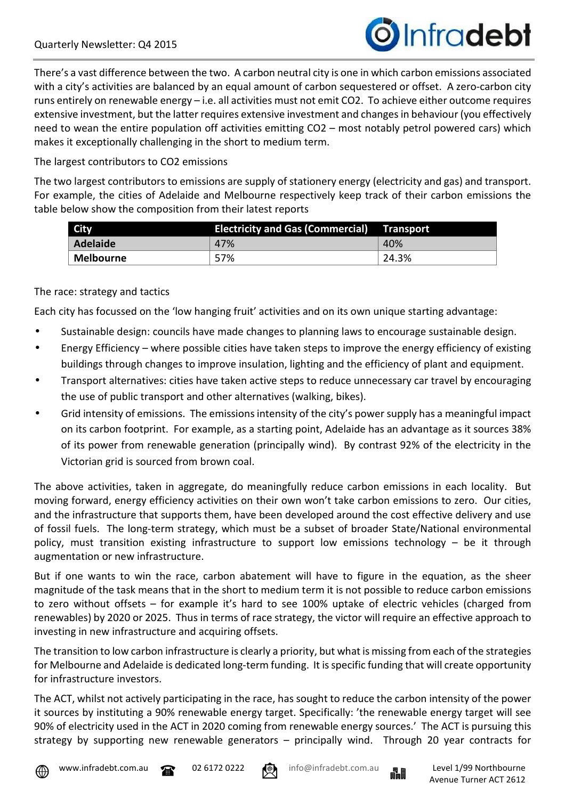

There's a vast difference between the two. A carbon neutral city is one in which carbon emissions associated with a city's activities are balanced by an equal amount of carbon sequestered or offset. A zero-carbon city runs entirely on renewable energy – i.e. all activities must not emit CO2. To achieve either outcome requires extensive investment, but the latter requires extensive investment and changes in behaviour (you effectively need to wean the entire population off activities emitting CO2 – most notably petrol powered cars) which makes it exceptionally challenging in the short to medium term.

#### The largest contributors to CO2 emissions

The two largest contributors to emissions are supply of stationery energy (electricity and gas) and transport. For example, the cities of Adelaide and Melbourne respectively keep track of their carbon emissions the table below show the composition from their latest reports

| <b>City</b> | <b>Electricity and Gas (Commercial)</b> | Transport |  |  |
|-------------|-----------------------------------------|-----------|--|--|
| Adelaide    | 47%                                     | 40%       |  |  |
| Melbourne   | 57%                                     | 24.3%     |  |  |

#### The race: strategy and tactics

Each city has focussed on the 'low hanging fruit' activities and on its own unique starting advantage:

- Sustainable design: councils have made changes to planning laws to encourage sustainable design.
- Energy Efficiency where possible cities have taken steps to improve the energy efficiency of existing buildings through changes to improve insulation, lighting and the efficiency of plant and equipment.
- Transport alternatives: cities have taken active steps to reduce unnecessary car travel by encouraging the use of public transport and other alternatives (walking, bikes).
- Grid intensity of emissions. The emissions intensity of the city's power supply has a meaningful impact on its carbon footprint. For example, as a starting point, Adelaide has an advantage as it sources 38% of its power from renewable generation (principally wind). By contrast 92% of the electricity in the Victorian grid is sourced from brown coal.

The above activities, taken in aggregate, do meaningfully reduce carbon emissions in each locality. But moving forward, energy efficiency activities on their own won't take carbon emissions to zero. Our cities, and the infrastructure that supports them, have been developed around the cost effective delivery and use of fossil fuels. The long-term strategy, which must be a subset of broader State/National environmental policy, must transition existing infrastructure to support low emissions technology – be it through augmentation or new infrastructure.

But if one wants to win the race, carbon abatement will have to figure in the equation, as the sheer magnitude of the task means that in the short to medium term it is not possible to reduce carbon emissions to zero without offsets – for example it's hard to see 100% uptake of electric vehicles (charged from renewables) by 2020 or 2025. Thus in terms of race strategy, the victor will require an effective approach to investing in new infrastructure and acquiring offsets.

The transition to low carbon infrastructure is clearly a priority, but what is missing from each of the strategies for Melbourne and Adelaide is dedicated long-term funding. It is specific funding that will create opportunity for infrastructure investors.

The ACT, whilst not actively participating in the race, has sought to reduce the carbon intensity of the power it sources by instituting a 90% renewable energy target. Specifically: 'the renewable energy target will see 90% of electricity used in the ACT in 2020 coming from renewable energy sources.' The ACT is pursuing this strategy by supporting new renewable generators – principally wind. Through 20 year contracts for